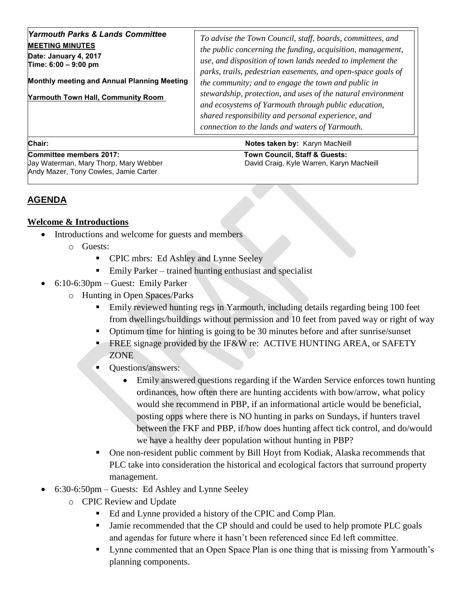| <b>Yarmouth Parks &amp; Lands Committee</b><br><b>MEETING MINUTES</b><br>Date: January 4, 2017<br>Time: 6:00 - 9:00 pm<br>Monthly meeting and Annual Planning Meeting<br><b>Yarmouth Town Hall, Community Room</b> | To advise the Town Council, staff, boards, committees, and<br>the public concerning the funding, acquisition, management,<br>use, and disposition of town lands needed to implement the<br>parks, trails, pedestrian easements, and open-space goals of<br>the community; and to engage the town and public in<br>stewardship, protection, and uses of the natural environment<br>and ecosystems of Yarmouth through public education,<br>shared responsibility and personal experience, and |
|--------------------------------------------------------------------------------------------------------------------------------------------------------------------------------------------------------------------|----------------------------------------------------------------------------------------------------------------------------------------------------------------------------------------------------------------------------------------------------------------------------------------------------------------------------------------------------------------------------------------------------------------------------------------------------------------------------------------------|
|                                                                                                                                                                                                                    | connection to the lands and waters of Yarmouth.                                                                                                                                                                                                                                                                                                                                                                                                                                              |

**Chair:** Notes taken by: Karyn MacNeill

Committee members 2017: Town Council, Staff & Guests: Andy Mazer, Tony Cowles, Jamie Carter

Jay Waterman, Mary Thorp, Mary Webber David Craig, Kyle Warren, Karyn MacNeill

## **AGENDA**

## **Welcome & Introductions**

- Introductions and welcome for guests and members
	- o Guests:
		- **•** CPIC mbrs: Ed Ashley and Lynne Seeley
		- Emily Parker trained hunting enthusiast and specialist
- 6:10-6:30pm Guest: Emily Parker
	- o Hunting in Open Spaces/Parks
		- Emily reviewed hunting regs in Yarmouth, including details regarding being 100 feet from dwellings/buildings without permission and 10 feet from paved way or right of way
		- Optimum time for hinting is going to be 30 minutes before and after sunrise/sunset
		- **FREE** signage provided by the IF&W re: ACTIVE HUNTING AREA, or SAFETY ZONE
		- **Cuestions/answers:** 
			- Emily answered questions regarding if the Warden Service enforces town hunting ordinances, how often there are hunting accidents with bow/arrow, what policy would she recommend in PBP, if an informational article would be beneficial, posting opps where there is NO hunting in parks on Sundays, if hunters travel between the FKF and PBP, if/how does hunting affect tick control, and do/would we have a healthy deer population without hunting in PBP?
		- One non-resident public comment by Bill Hoyt from Kodiak, Alaska recommends that PLC take into consideration the historical and ecological factors that surround property management.
- 6:30-6:50pm Guests: Ed Ashley and Lynne Seeley
	- o CPIC Review and Update
		- Ed and Lynne provided a history of the CPIC and Comp Plan.
		- If Jamie recommended that the CP should and could be used to help promote PLC goals and agendas for future where it hasn't been referenced since Ed left committee.
		- **If** Lynne commented that an Open Space Plan is one thing that is missing from Yarmouth's planning components.